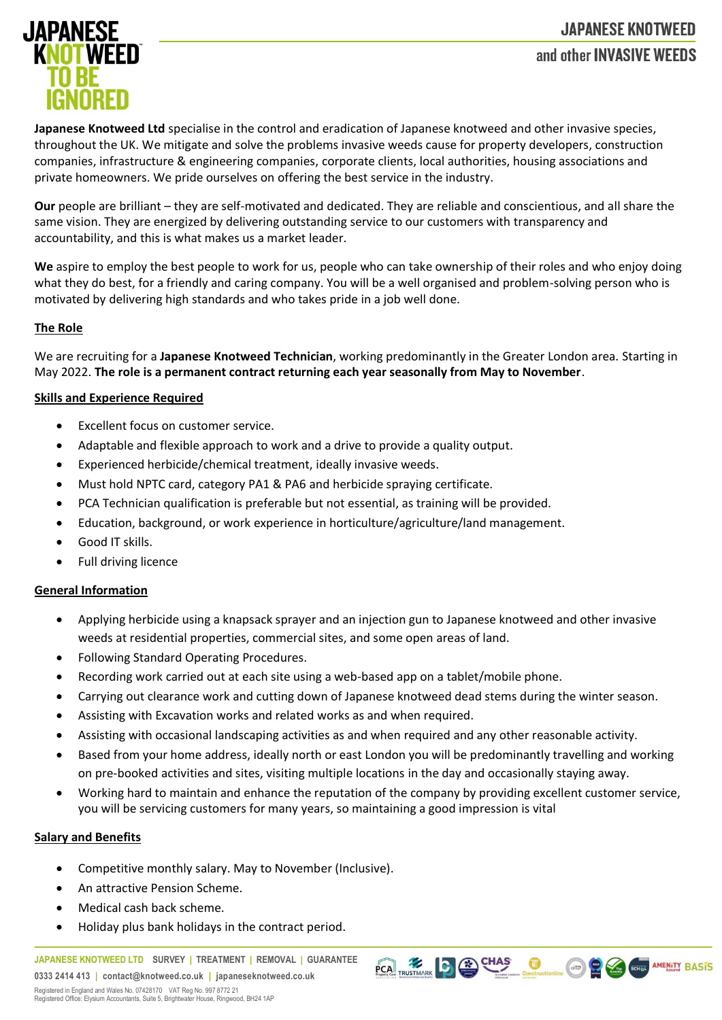# **JAPANESE KNOTWEED** and other INVASIVE WEEDS



**Japanese Knotweed Ltd** specialise in the control and eradication of Japanese knotweed and other invasive species, throughout the UK. We mitigate and solve the problems invasive weeds cause for property developers, construction companies, infrastructure & engineering companies, corporate clients, local authorities, housing associations and private homeowners. We pride ourselves on offering the best service in the industry.

**Our** people are brilliant – they are self-motivated and dedicated. They are reliable and conscientious, and all share the same vision. They are energized by delivering outstanding service to our customers with transparency and accountability, and this is what makes us a market leader.

**We** aspire to employ the best people to work for us, people who can take ownership of their roles and who enjoy doing what they do best, for a friendly and caring company. You will be a well organised and problem-solving person who is motivated by delivering high standards and who takes pride in a job well done.

## **The Role**

We are recruiting for a **Japanese Knotweed Technician**, working predominantly in the Greater London area. Starting in May 2022. **The role is a permanent contract returning each year seasonally from May to November**.

## **Skills and Experience Required**

- Excellent focus on customer service.
- Adaptable and flexible approach to work and a drive to provide a quality output.
- Experienced herbicide/chemical treatment, ideally invasive weeds.
- Must hold NPTC card, category PA1 & PA6 and herbicide spraying certificate.
- PCA Technician qualification is preferable but not essential, as training will be provided.
- Education, background, or work experience in horticulture/agriculture/land management.
- Good IT skills.
- Full driving licence

#### **General Information**

- Applying herbicide using a knapsack sprayer and an injection gun to Japanese knotweed and other invasive weeds at residential properties, commercial sites, and some open areas of land.
- Following Standard Operating Procedures.
- Recording work carried out at each site using a web-based app on a tablet/mobile phone.
- Carrying out clearance work and cutting down of Japanese knotweed dead stems during the winter season.
- Assisting with Excavation works and related works as and when required.
- Assisting with occasional landscaping activities as and when required and any other reasonable activity.
- Based from your home address, ideally north or east London you will be predominantly travelling and working on pre-booked activities and sites, visiting multiple locations in the day and occasionally staying away.
- Working hard to maintain and enhance the reputation of the company by providing excellent customer service, you will be servicing customers for many years, so maintaining a good impression is vital

PCA TRUSTMARK CO CHAS CONSTACTION CO CO CONSTAMENTY BASIS

#### **Salary and Benefits**

- Competitive monthly salary. May to November (Inclusive).
- An attractive Pension Scheme.
- Medical cash back scheme.
- Holiday plus bank holidays in the contract period.

**JAPANESE KNOTWEED LTD SURVEY | TREATMENT | REMOVAL | GUARANTEE 0333 2414 413 | contact@knotweed.co.uk | japaneseknotweed.co.uk**